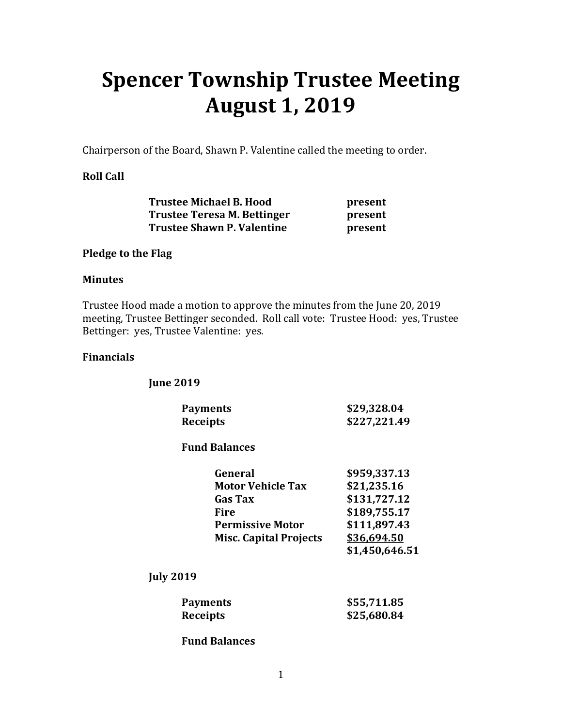# **Spencer Township Trustee Meeting August 1, 2019**

Chairperson of the Board, Shawn P. Valentine called the meeting to order.

# **Roll Call**

| <b>Trustee Michael B. Hood</b>    | present |
|-----------------------------------|---------|
| Trustee Teresa M. Bettinger       | present |
| <b>Trustee Shawn P. Valentine</b> | present |

## **Pledge to the Flag**

## **Minutes**

Trustee Hood made a motion to approve the minutes from the June 20, 2019 meeting, Trustee Bettinger seconded. Roll call vote: Trustee Hood: yes, Trustee Bettinger: yes, Trustee Valentine: yes.

## **Financials**

 **June 2019** 

| <b>Payments</b> | \$29,328.04  |
|-----------------|--------------|
| <b>Receipts</b> | \$227,221.49 |

#### **Fund Balances**

|  | General                       | \$959,337.13   |
|--|-------------------------------|----------------|
|  |                               |                |
|  | <b>Motor Vehicle Tax</b>      | \$21,235.16    |
|  | <b>Gas Tax</b>                | \$131,727.12   |
|  | Fire                          | \$189,755.17   |
|  | <b>Permissive Motor</b>       | \$111,897.43   |
|  | <b>Misc. Capital Projects</b> | \$36,694.50    |
|  |                               | \$1,450,646.51 |

 **July 2019** 

| <b>Payments</b> | \$55,711.85 |
|-----------------|-------------|
| <b>Receipts</b> | \$25,680.84 |

 **Fund Balances**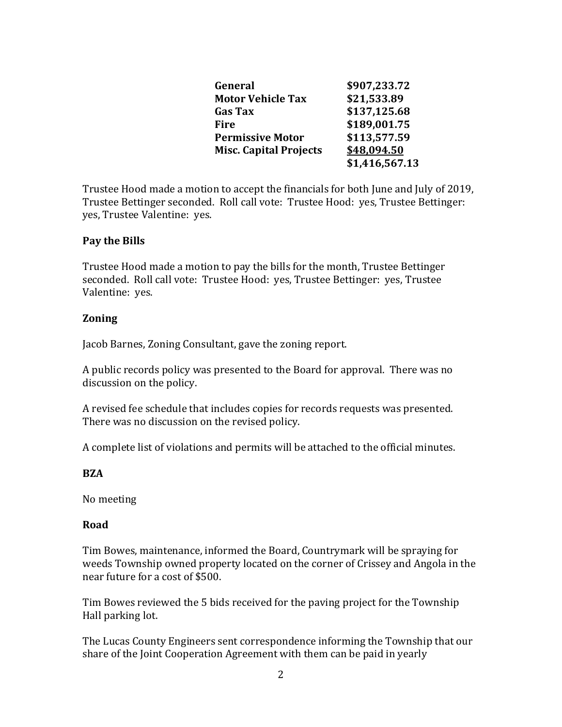| General                       | \$907,233.72   |
|-------------------------------|----------------|
| <b>Motor Vehicle Tax</b>      | \$21,533.89    |
| <b>Gas Tax</b>                | \$137,125.68   |
| <b>Fire</b>                   | \$189,001.75   |
| <b>Permissive Motor</b>       | \$113,577.59   |
| <b>Misc. Capital Projects</b> | \$48,094.50    |
|                               | \$1,416,567.13 |

Trustee Hood made a motion to accept the financials for both June and July of 2019, Trustee Bettinger seconded. Roll call vote: Trustee Hood: yes, Trustee Bettinger: yes, Trustee Valentine: yes.

# **Pay the Bills**

Trustee Hood made a motion to pay the bills for the month, Trustee Bettinger seconded. Roll call vote: Trustee Hood: yes, Trustee Bettinger: yes, Trustee Valentine: yes.

## **Zoning**

Jacob Barnes, Zoning Consultant, gave the zoning report.

A public records policy was presented to the Board for approval. There was no discussion on the policy.

A revised fee schedule that includes copies for records requests was presented. There was no discussion on the revised policy.

A complete list of violations and permits will be attached to the official minutes.

#### **BZA**

No meeting

#### **Road**

Tim Bowes, maintenance, informed the Board, Countrymark will be spraying for weeds Township owned property located on the corner of Crissey and Angola in the near future for a cost of \$500.

Tim Bowes reviewed the 5 bids received for the paving project for the Township Hall parking lot.

The Lucas County Engineers sent correspondence informing the Township that our share of the Joint Cooperation Agreement with them can be paid in yearly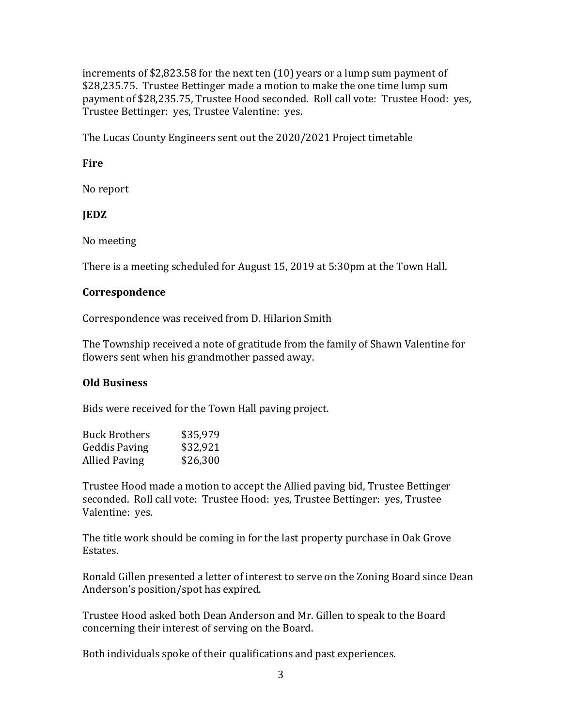increments of \$2,823.58 for the next ten (10) years or a lump sum payment of \$28,235.75. Trustee Bettinger made a motion to make the one time lump sum payment of \$28,235.75, Trustee Hood seconded. Roll call vote: Trustee Hood: yes, Trustee Bettinger: yes, Trustee Valentine: yes.

The Lucas County Engineers sent out the 2020/2021 Project timetable

## **Fire**

No report

# **JEDZ**

No meeting

There is a meeting scheduled for August 15, 2019 at 5:30pm at the Town Hall.

## **Correspondence**

Correspondence was received from D. Hilarion Smith

The Township received a note of gratitude from the family of Shawn Valentine for flowers sent when his grandmother passed away.

#### **Old Business**

Bids were received for the Town Hall paving project.

| \$35,979 |
|----------|
| \$32,921 |
| \$26,300 |
|          |

Trustee Hood made a motion to accept the Allied paving bid, Trustee Bettinger seconded. Roll call vote: Trustee Hood: yes, Trustee Bettinger: yes, Trustee Valentine: yes.

The title work should be coming in for the last property purchase in Oak Grove Estates.

Ronald Gillen presented a letter of interest to serve on the Zoning Board since Dean Anderson's position/spot has expired.

Trustee Hood asked both Dean Anderson and Mr. Gillen to speak to the Board concerning their interest of serving on the Board.

Both individuals spoke of their qualifications and past experiences.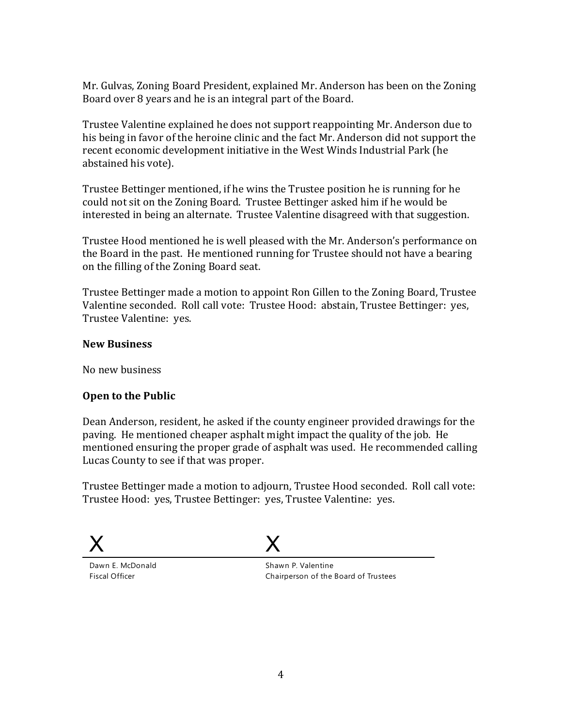Mr. Gulvas, Zoning Board President, explained Mr. Anderson has been on the Zoning Board over 8 years and he is an integral part of the Board.

Trustee Valentine explained he does not support reappointing Mr. Anderson due to his being in favor of the heroine clinic and the fact Mr. Anderson did not support the recent economic development initiative in the West Winds Industrial Park (he abstained his vote).

Trustee Bettinger mentioned, if he wins the Trustee position he is running for he could not sit on the Zoning Board. Trustee Bettinger asked him if he would be interested in being an alternate. Trustee Valentine disagreed with that suggestion.

Trustee Hood mentioned he is well pleased with the Mr. Anderson's performance on the Board in the past. He mentioned running for Trustee should not have a bearing on the filling of the Zoning Board seat.

Trustee Bettinger made a motion to appoint Ron Gillen to the Zoning Board, Trustee Valentine seconded. Roll call vote: Trustee Hood: abstain, Trustee Bettinger: yes, Trustee Valentine: yes.

# **New Business**

No new business

# **Open to the Public**

Dean Anderson, resident, he asked if the county engineer provided drawings for the paving. He mentioned cheaper asphalt might impact the quality of the job. He mentioned ensuring the proper grade of asphalt was used. He recommended calling Lucas County to see if that was proper.

Trustee Bettinger made a motion to adjourn, Trustee Hood seconded. Roll call vote: Trustee Hood: yes, Trustee Bettinger: yes, Trustee Valentine: yes.

X



Dawn E. McDonald Fiscal Officer

Shawn P. Valentine Chairperson of the Board of Trustees